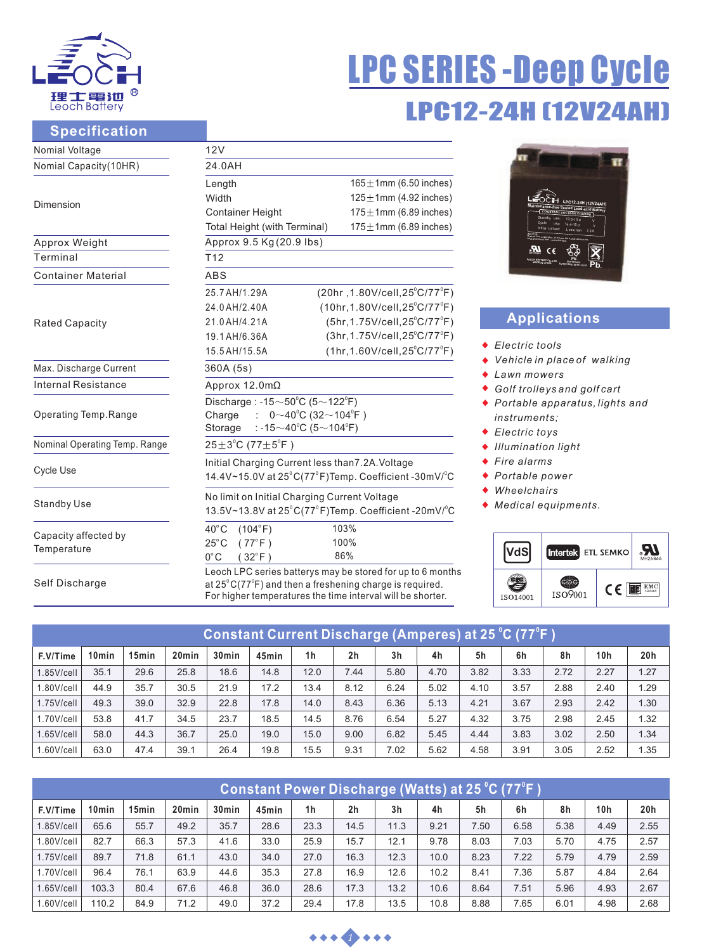

# LPC12-24H (12V24AH) LPC SERIES -Deep Cycle

#### **Specification**

| Nomial Voltage                      | 12V                                                                                                                                                                                                      |                                               |  |  |  |  |  |  |  |
|-------------------------------------|----------------------------------------------------------------------------------------------------------------------------------------------------------------------------------------------------------|-----------------------------------------------|--|--|--|--|--|--|--|
| Nomial Capacity(10HR)               | 24.0AH                                                                                                                                                                                                   |                                               |  |  |  |  |  |  |  |
|                                     | Length                                                                                                                                                                                                   | $165 \pm 1$ mm (6.50 inches)                  |  |  |  |  |  |  |  |
| Dimension                           | Width                                                                                                                                                                                                    | $125 \pm 1$ mm (4.92 inches)                  |  |  |  |  |  |  |  |
|                                     | <b>Container Height</b>                                                                                                                                                                                  | $175 \pm 1$ mm (6.89 inches)                  |  |  |  |  |  |  |  |
|                                     | Total Height (with Terminal)                                                                                                                                                                             | $175 \pm 1$ mm (6.89 inches)                  |  |  |  |  |  |  |  |
| Approx Weight                       | Approx 9.5 Kg (20.9 lbs)                                                                                                                                                                                 |                                               |  |  |  |  |  |  |  |
| Terminal                            | T <sub>12</sub>                                                                                                                                                                                          |                                               |  |  |  |  |  |  |  |
| <b>Container Material</b>           | <b>ABS</b>                                                                                                                                                                                               |                                               |  |  |  |  |  |  |  |
|                                     | 25.7 AH/1.29A                                                                                                                                                                                            | (20hr, 1.80V/cell, 25°C/77°F)                 |  |  |  |  |  |  |  |
|                                     | 24.0 AH/2.40A                                                                                                                                                                                            | $(10hr, 1.80V/cell, 25^{\circ}C/77^{\circ}F)$ |  |  |  |  |  |  |  |
| <b>Rated Capacity</b>               | 21.0 AH/4.21A                                                                                                                                                                                            | (5hr, 1.75V/cell, 25°C/77°F)                  |  |  |  |  |  |  |  |
|                                     | 19.1 AH/6.36A                                                                                                                                                                                            | $(3hr, 1.75V/cell, 25^{\circ}C/77^{\circ}F)$  |  |  |  |  |  |  |  |
|                                     | 15.5 AH/15.5A                                                                                                                                                                                            | $(1hr, 1.60V/cell, 25^{\circ}C/77^{\circ}F)$  |  |  |  |  |  |  |  |
| Max. Discharge Current              | 360A (5s)                                                                                                                                                                                                |                                               |  |  |  |  |  |  |  |
| Internal Resistance                 | Approx 12.0mΩ                                                                                                                                                                                            |                                               |  |  |  |  |  |  |  |
|                                     | Discharge: -15 $\sim$ 50 $^{\circ}$ C (5 $\sim$ 122 $^{\circ}$ F)                                                                                                                                        |                                               |  |  |  |  |  |  |  |
| Operating Temp.Range                | $0 \sim 40^{\circ}$ C (32 $\sim$ 104 $^{\circ}$ F)<br>Charge<br>÷                                                                                                                                        |                                               |  |  |  |  |  |  |  |
|                                     | : -15 $\sim$ 40°C (5 $\sim$ 104°F)<br>Storage                                                                                                                                                            |                                               |  |  |  |  |  |  |  |
| Nominal Operating Temp. Range       | $25 \pm 3^{\circ}$ C (77 $\pm 5^{\circ}$ F)                                                                                                                                                              |                                               |  |  |  |  |  |  |  |
|                                     | Initial Charging Current less than7.2A. Voltage                                                                                                                                                          |                                               |  |  |  |  |  |  |  |
| <b>Cycle Use</b>                    | 14.4V~15.0V at $25^{\circ}$ C(77 $^{\circ}$ F)Temp. Coefficient -30mV/ $^{\circ}$ C                                                                                                                      |                                               |  |  |  |  |  |  |  |
|                                     | No limit on Initial Charging Current Voltage                                                                                                                                                             |                                               |  |  |  |  |  |  |  |
| <b>Standby Use</b>                  | 13.5V~13.8V at 25°C(77°F)Temp. Coefficient -20mV/°C                                                                                                                                                      |                                               |  |  |  |  |  |  |  |
|                                     | $40^{\circ}$ C<br>(104°F)                                                                                                                                                                                | 103%                                          |  |  |  |  |  |  |  |
| Capacity affected by<br>Temperature | $25^{\circ}$ C<br>$(77^{\circ}F)$                                                                                                                                                                        | 100%                                          |  |  |  |  |  |  |  |
|                                     | $0^{\circ}$ C<br>$(32^{\circ}F)$                                                                                                                                                                         | 86%                                           |  |  |  |  |  |  |  |
| Self Discharge                      | Leoch LPC series batterys may be stored for up to 6 months<br>at $25^{\circ}$ C(77 $^{\circ}$ F) and then a freshening charge is required.<br>For higher temperatures the time interval will be shorter. |                                               |  |  |  |  |  |  |  |



## **Applications**

- *Electric tools*
- *Vehicle in place of walking*
- *Lawn mowers*
- *Golf trolleys and golf cart*
- *Portable apparatus, lights and instruments;*
- *Electric toys*
- *Illumination light*
- *Fire alarms*
- *Portable power*
- *Wheelchairs*
- *Medical equipments.*



| Constant Current Discharge (Amperes) at 25 °C (77°F ) |                   |                   |                   |                   |       |                |                |                |      |      |      |      |      |      |
|-------------------------------------------------------|-------------------|-------------------|-------------------|-------------------|-------|----------------|----------------|----------------|------|------|------|------|------|------|
| F.V/Time                                              | 10 <sub>min</sub> | 15 <sub>min</sub> | 20 <sub>min</sub> | 30 <sub>min</sub> | 45min | 1 <sub>h</sub> | 2 <sub>h</sub> | 3 <sub>h</sub> | 4h   | 5h   | 6h   | 8h   | 10h  | 20h  |
| $1.85$ V/cell                                         | 35.1              | 29.6              | 25.8              | 18.6              | 14.8  | 12.0           | 7.44           | 5.80           | 4.70 | 3.82 | 3.33 | 2.72 | 2.27 | 1.27 |
| 1.80V/cell                                            | 44.9              | 35.7              | 30.5              | 21.9              | 17.2  | 13.4           | 8.12           | 6.24           | 5.02 | 4.10 | 3.57 | 2.88 | 2.40 | 1.29 |
| $1.75$ V/cell                                         | 49.3              | 39.0              | 32.9              | 22.8              | 17.8  | 14.0           | 8.43           | 6.36           | 5.13 | 4.21 | 3.67 | 2.93 | 2.42 | 1.30 |
| 1.70V/cell                                            | 53.8              | 41.7              | 34.5              | 23.7              | 18.5  | 14.5           | 8.76           | 6.54           | 5.27 | 4.32 | 3.75 | 2.98 | 2.45 | 1.32 |
| $1.65$ V/cell                                         | 58.0              | 44.3              | 36.7              | 25.0              | 19.0  | 15.0           | 9.00           | 6.82           | 5.45 | 4.44 | 3.83 | 3.02 | 2.50 | 1.34 |
| 1.60V/cell                                            | 63.0              | 47.4              | 39.1              | 26.4              | 19.8  | 15.5           | 9.31           | 7.02           | 5.62 | 4.58 | 3.91 | 3.05 | 2.52 | 1.35 |

| Constant Power Discharge (Watts) at 25 °C (77°F) |                   |                   |                   |                   |       |                |                |                |      |      |      |      |      |      |
|--------------------------------------------------|-------------------|-------------------|-------------------|-------------------|-------|----------------|----------------|----------------|------|------|------|------|------|------|
| F.V/Time                                         | 10 <sub>min</sub> | 15 <sub>min</sub> | 20 <sub>min</sub> | 30 <sub>min</sub> | 45min | 1 <sub>h</sub> | 2 <sub>h</sub> | 3 <sub>h</sub> | 4h   | 5h   | 6h   | 8h   | 10h  | 20h  |
| $1.85$ V/cell                                    | 65.6              | 55.7              | 49.2              | 35.7              | 28.6  | 23.3           | 14.5           | 11.3           | 9.21 | 7.50 | 6.58 | 5.38 | 4.49 | 2.55 |
| 1.80V/cell                                       | 82.7              | 66.3              | 57.3              | 41.6              | 33.0  | 25.9           | 15.7           | 12.1           | 9.78 | 8.03 | 7.03 | 5.70 | 4.75 | 2.57 |
| $1.75$ V/cell                                    | 89.7              | 71.8              | 61.1              | 43.0              | 34.0  | 27.0           | 16.3           | 12.3           | 10.0 | 8.23 | 7.22 | 5.79 | 4.79 | 2.59 |
| $1.70$ V/cell                                    | 96.4              | 76.1              | 63.9              | 44.6              | 35.3  | 27.8           | 16.9           | 12.6           | 10.2 | 8.41 | 7.36 | 5.87 | 4.84 | 2.64 |
| $1.65$ V/cell                                    | 103.3             | 80.4              | 67.6              | 46.8              | 36.0  | 28.6           | 17.3           | 13.2           | 10.6 | 8.64 | 7.51 | 5.96 | 4.93 | 2.67 |
| 1.60V/cell                                       | 110.2             | 84.9              | 71.2              | 49.0              | 37.2  | 29.4           | 17.8           | 13.5           | 10.8 | 8.88 | 7.65 | 6.01 | 4.98 | 2.68 |